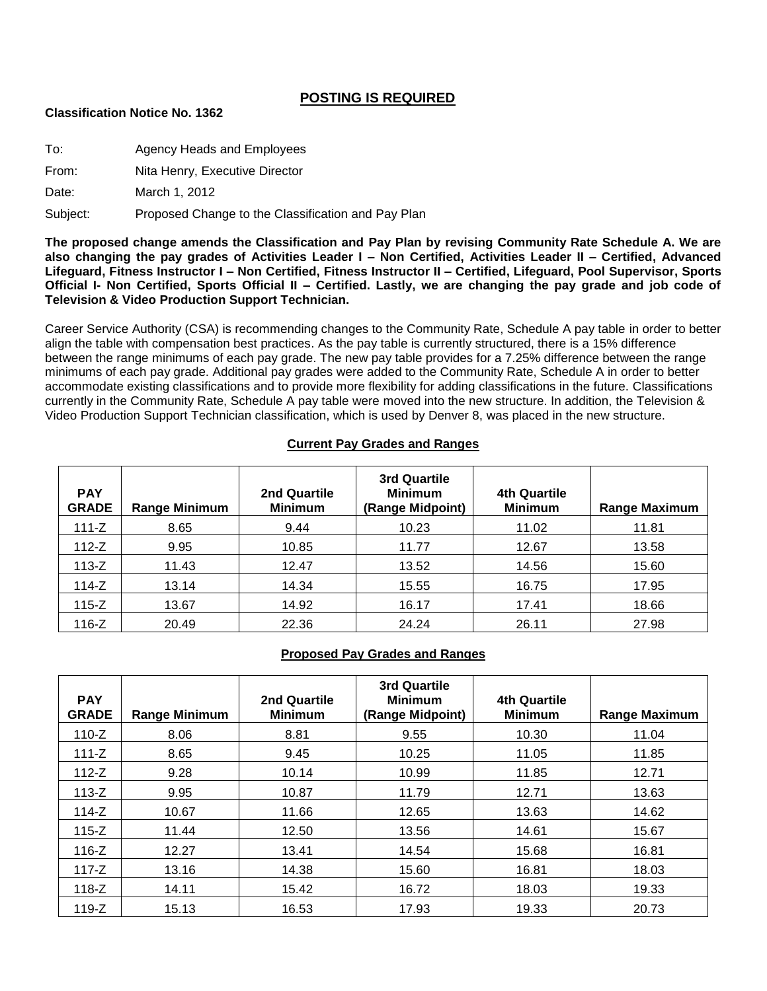# **POSTING IS REQUIRED**

#### **Classification Notice No. 1362**

To: Agency Heads and Employees

From: Nita Henry, Executive Director

Date: March 1, 2012

Subject: Proposed Change to the Classification and Pay Plan

**The proposed change amends the Classification and Pay Plan by revising Community Rate Schedule A. We are also changing the pay grades of Activities Leader I – Non Certified, Activities Leader II – Certified, Advanced Lifeguard, Fitness Instructor I – Non Certified, Fitness Instructor II – Certified, Lifeguard, Pool Supervisor, Sports Official I- Non Certified, Sports Official II – Certified. Lastly, we are changing the pay grade and job code of Television & Video Production Support Technician.**

Career Service Authority (CSA) is recommending changes to the Community Rate, Schedule A pay table in order to better align the table with compensation best practices. As the pay table is currently structured, there is a 15% difference between the range minimums of each pay grade. The new pay table provides for a 7.25% difference between the range minimums of each pay grade. Additional pay grades were added to the Community Rate, Schedule A in order to better accommodate existing classifications and to provide more flexibility for adding classifications in the future. Classifications currently in the Community Rate, Schedule A pay table were moved into the new structure. In addition, the Television & Video Production Support Technician classification, which is used by Denver 8, was placed in the new structure.

### **Current Pay Grades and Ranges**

| <b>PAY</b><br><b>GRADE</b> | <b>Range Minimum</b> | 2nd Quartile<br><b>Minimum</b> | 3rd Quartile<br><b>Minimum</b><br>(Range Midpoint) | 4th Quartile<br><b>Minimum</b> | <b>Range Maximum</b> |
|----------------------------|----------------------|--------------------------------|----------------------------------------------------|--------------------------------|----------------------|
| 111-Z                      | 8.65                 | 9.44                           | 10.23                                              | 11.02                          | 11.81                |
| 112-Z                      | 9.95                 | 10.85                          | 11.77                                              | 12.67                          | 13.58                |
| 113-Z                      | 11.43                | 12.47                          | 13.52                                              | 14.56                          | 15.60                |
| 114-Z                      | 13.14                | 14.34                          | 15.55                                              | 16.75                          | 17.95                |
| 115-Z                      | 13.67                | 14.92                          | 16.17                                              | 17.41                          | 18.66                |
| 116-Z                      | 20.49                | 22.36                          | 24.24                                              | 26.11                          | 27.98                |

# **Proposed Pay Grades and Ranges**

| <b>PAY</b><br><b>GRADE</b> | <b>Range Minimum</b> | 2nd Quartile<br><b>Minimum</b> | 3rd Quartile<br><b>Minimum</b><br>(Range Midpoint) | <b>4th Quartile</b><br><b>Minimum</b> | <b>Range Maximum</b> |
|----------------------------|----------------------|--------------------------------|----------------------------------------------------|---------------------------------------|----------------------|
| $110-Z$                    | 8.06                 | 8.81                           | 9.55                                               | 10.30                                 | 11.04                |
| $111 - Z$                  | 8.65                 | 9.45                           | 10.25                                              | 11.05                                 | 11.85                |
| $112-Z$                    | 9.28                 | 10.14                          | 10.99                                              | 11.85                                 | 12.71                |
| $113-Z$                    | 9.95                 | 10.87                          | 11.79                                              | 12.71                                 | 13.63                |
| 114-Z                      | 10.67                | 11.66                          | 12.65                                              | 13.63                                 | 14.62                |
| $115-Z$                    | 11.44                | 12.50                          | 13.56                                              | 14.61                                 | 15.67                |
| $116-Z$                    | 12.27                | 13.41                          | 14.54                                              | 15.68                                 | 16.81                |
| 117-Z                      | 13.16                | 14.38                          | 15.60                                              | 16.81                                 | 18.03                |
| 118-Z                      | 14.11                | 15.42                          | 16.72                                              | 18.03                                 | 19.33                |
| $119-Z$                    | 15.13                | 16.53                          | 17.93                                              | 19.33                                 | 20.73                |